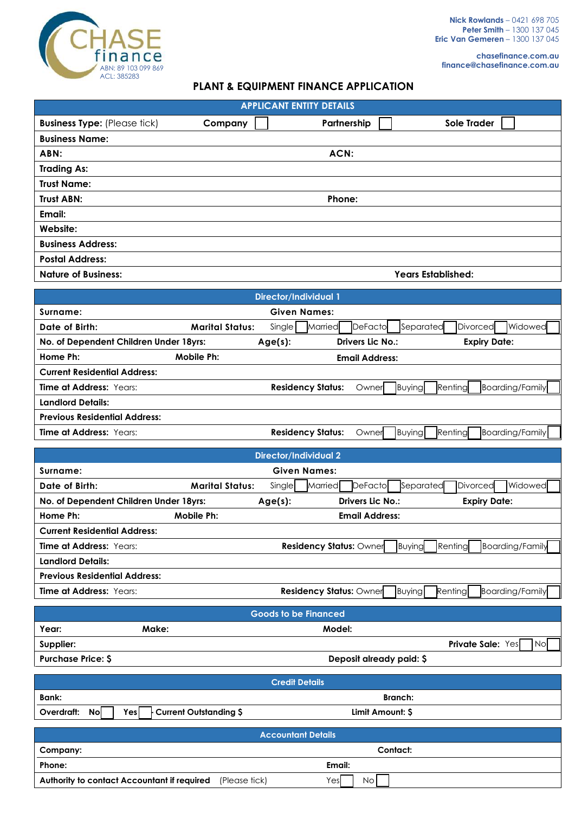

**chasefinance.com.au finance@chasefinance.com.au**

## **PLANT & EQUIPMENT FINANCE APPLICATION**

| <b>APPLICANT ENTITY DETAILS</b>     |         |                           |             |  |  |
|-------------------------------------|---------|---------------------------|-------------|--|--|
| <b>Business Type:</b> (Please tick) | Company | Partnership               | Sole Trader |  |  |
| <b>Business Name:</b>               |         |                           |             |  |  |
| ABN:                                |         | ACN:                      |             |  |  |
| <b>Trading As:</b>                  |         |                           |             |  |  |
| <b>Trust Name:</b>                  |         |                           |             |  |  |
| <b>Trust ABN:</b>                   |         | Phone:                    |             |  |  |
| Email:                              |         |                           |             |  |  |
| Website:                            |         |                           |             |  |  |
| <b>Business Address:</b>            |         |                           |             |  |  |
| <b>Postal Address:</b>              |         |                           |             |  |  |
| <b>Nature of Business:</b>          |         | <b>Years Established:</b> |             |  |  |

| <b>Director/Individual 1</b>           |                        |                          |                        |                                   |  |  |
|----------------------------------------|------------------------|--------------------------|------------------------|-----------------------------------|--|--|
| Surname:                               | <b>Given Names:</b>    |                          |                        |                                   |  |  |
| Date of Birth:                         | <b>Marital Status:</b> | Single<br>Married        | DeFacto<br>Separated   | Widowed<br>Divorced               |  |  |
| No. of Dependent Children Under 18yrs: |                        | Age(s):                  | Drivers Lic No.:       | <b>Expiry Date:</b>               |  |  |
| Home Ph:                               | Mobile Ph:             |                          | <b>Email Address:</b>  |                                   |  |  |
| <b>Current Residential Address:</b>    |                        |                          |                        |                                   |  |  |
| Time at Address: Years:                |                        | <b>Residency Status:</b> | Buying<br>Owner        | Renting<br><b>Boarding/Family</b> |  |  |
| <b>Landlord Details:</b>               |                        |                          |                        |                                   |  |  |
| <b>Previous Residential Address:</b>   |                        |                          |                        |                                   |  |  |
| <b>Time at Address: Years:</b>         |                        | <b>Residency Status:</b> | <b>Buying</b><br>Owner | Renting<br>Boarding/Family        |  |  |

| Director/Individual 2                  |                        |         |                                |                       |           |                     |                        |
|----------------------------------------|------------------------|---------|--------------------------------|-----------------------|-----------|---------------------|------------------------|
| <b>Given Names:</b><br>Surname:        |                        |         |                                |                       |           |                     |                        |
| Date of Birth:                         | <b>Marital Status:</b> | Single  | Married                        | DeFactol              | Separated | Divorced            | Widowed                |
| No. of Dependent Children Under 18yrs: |                        | Age(s): |                                | Drivers Lic No.:      |           | <b>Expiry Date:</b> |                        |
| Home Ph:                               | Mobile Ph:             |         |                                | <b>Email Address:</b> |           |                     |                        |
| <b>Current Residential Address:</b>    |                        |         |                                |                       |           |                     |                        |
| <b>Time at Address: Years:</b>         |                        |         | <b>Residency Status: Owner</b> |                       | Buying    | Renting             | <b>Boarding/Family</b> |
| <b>Landlord Details:</b>               |                        |         |                                |                       |           |                     |                        |
| <b>Previous Residential Address:</b>   |                        |         |                                |                       |           |                     |                        |
| <b>Time at Address: Years:</b>         |                        |         | Residency Status: Owner        |                       | Buying    | Renting             | Boarding/Family        |
|                                        |                        |         |                                |                       |           |                     |                        |

| <b>Goods to be Financed</b> |       |                          |                                         |
|-----------------------------|-------|--------------------------|-----------------------------------------|
| Year:                       | Make: | Model:                   |                                         |
| Supplier:                   |       |                          | <b>Private Sale: Yes</b><br><b>INol</b> |
| <b>Purchase Price: \$</b>   |       | Deposit already paid: \$ |                                         |

|            | <b>Credit Details</b>                                            |  |  |  |
|------------|------------------------------------------------------------------|--|--|--|
| Bank:      | <b>Branch:</b>                                                   |  |  |  |
| Overdraft: | <b>Nol</b><br>Yesl<br>Current Outstanding \$<br>Limit Amount: \$ |  |  |  |
|            | <b>Accountant Details</b>                                        |  |  |  |
| Company:   | Contact:                                                         |  |  |  |
| Phone:     | Email:                                                           |  |  |  |

**Authority to contact Accountant if required** (Please tick) Yes Yes No